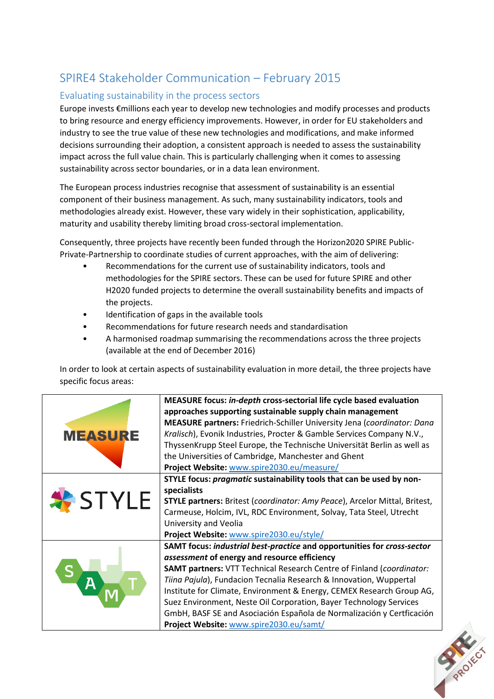## SPIRE4 Stakeholder Communication – February 2015

## Evaluating sustainability in the process sectors

Europe invests €millions each year to develop new technologies and modify processes and products to bring resource and energy efficiency improvements. However, in order for EU stakeholders and industry to see the true value of these new technologies and modifications, and make informed decisions surrounding their adoption, a consistent approach is needed to assess the sustainability impact across the full value chain. This is particularly challenging when it comes to assessing sustainability across sector boundaries, or in a data lean environment.

The European process industries recognise that assessment of sustainability is an essential component of their business management. As such, many sustainability indicators, tools and methodologies already exist. However, these vary widely in their sophistication, applicability, maturity and usability thereby limiting broad cross-sectoral implementation.

Consequently, three projects have recently been funded through the Horizon2020 SPIRE Public-Private-Partnership to coordinate studies of current approaches, with the aim of delivering:

- Recommendations for the current use of sustainability indicators, tools and methodologies for the SPIRE sectors. These can be used for future SPIRE and other H2020 funded projects to determine the overall sustainability benefits and impacts of the projects.
- Identification of gaps in the available tools
- Recommendations for future research needs and standardisation
- A harmonised roadmap summarising the recommendations across the three projects (available at the end of December 2016)

In order to look at certain aspects of sustainability evaluation in more detail, the three projects have specific focus areas: